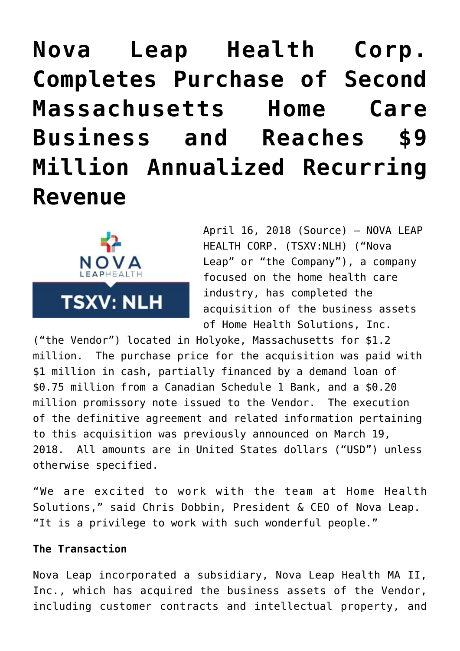# **[Nova Leap Health Corp.](https://investorintel.com/markets/biotech-healthcare/biotech-news/nova-leap-health-corp-completes-purchase-second-massachusetts-home-care-business-reaches-9-million-annualized-recurring-revenue/) [Completes Purchase of Second](https://investorintel.com/markets/biotech-healthcare/biotech-news/nova-leap-health-corp-completes-purchase-second-massachusetts-home-care-business-reaches-9-million-annualized-recurring-revenue/) [Massachusetts Home Care](https://investorintel.com/markets/biotech-healthcare/biotech-news/nova-leap-health-corp-completes-purchase-second-massachusetts-home-care-business-reaches-9-million-annualized-recurring-revenue/) [Business and Reaches \\$9](https://investorintel.com/markets/biotech-healthcare/biotech-news/nova-leap-health-corp-completes-purchase-second-massachusetts-home-care-business-reaches-9-million-annualized-recurring-revenue/) [Million Annualized Recurring](https://investorintel.com/markets/biotech-healthcare/biotech-news/nova-leap-health-corp-completes-purchase-second-massachusetts-home-care-business-reaches-9-million-annualized-recurring-revenue/) [Revenue](https://investorintel.com/markets/biotech-healthcare/biotech-news/nova-leap-health-corp-completes-purchase-second-massachusetts-home-care-business-reaches-9-million-annualized-recurring-revenue/)**



April 16, 2018 [\(Source\)](https://investorintel.com/iintel-members/nova-leap-health-corp/) — NOVA LEAP HEALTH CORP. (TSXV:NLH) ("Nova Leap" or "the Company"), a company focused on the home health care industry, has completed the acquisition of the business assets of Home Health Solutions, Inc.

("the Vendor") located in Holyoke, Massachusetts for \$1.2 million. The purchase price for the acquisition was paid with \$1 million in cash, partially financed by a demand loan of \$0.75 million from a Canadian Schedule 1 Bank, and a \$0.20 million promissory note issued to the Vendor. The execution of the definitive agreement and related information pertaining to this acquisition was previously announced on March 19, 2018. All amounts are in United States dollars ("USD") unless otherwise specified.

"We are excited to work with the team at Home Health Solutions," said Chris Dobbin, President & CEO of Nova Leap. "It is a privilege to work with such wonderful people."

## **The Transaction**

Nova Leap incorporated a subsidiary, Nova Leap Health MA II, Inc., which has acquired the business assets of the Vendor, including customer contracts and intellectual property, and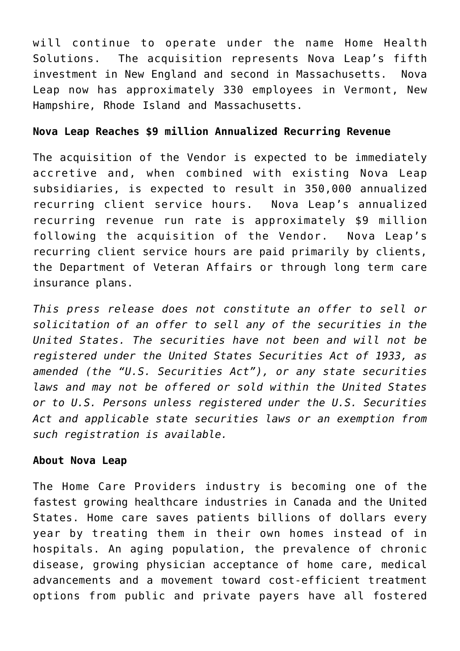will continue to operate under the name Home Health Solutions. The acquisition represents Nova Leap's fifth investment in New England and second in Massachusetts. Nova Leap now has approximately 330 employees in Vermont, New Hampshire, Rhode Island and Massachusetts.

# **Nova Leap Reaches \$9 million Annualized Recurring Revenue**

The acquisition of the Vendor is expected to be immediately accretive and, when combined with existing Nova Leap subsidiaries, is expected to result in 350,000 annualized recurring client service hours. Nova Leap's annualized recurring revenue run rate is approximately \$9 million following the acquisition of the Vendor. Nova Leap's recurring client service hours are paid primarily by clients, the Department of Veteran Affairs or through long term care insurance plans.

*This press release does not constitute an offer to sell or solicitation of an offer to sell any of the securities in the United States. The securities have not been and will not be registered under the United States Securities Act of 1933, as amended (the "U.S. Securities Act"), or any state securities laws and may not be offered or sold within the United States or to U.S. Persons unless registered under the U.S. Securities Act and applicable state securities laws or an exemption from such registration is available.*

# **About Nova Leap**

The Home Care Providers industry is becoming one of the fastest growing healthcare industries in Canada and the United States. Home care saves patients billions of dollars every year by treating them in their own homes instead of in hospitals. An aging population, the prevalence of chronic disease, growing physician acceptance of home care, medical advancements and a movement toward cost-efficient treatment options from public and private payers have all fostered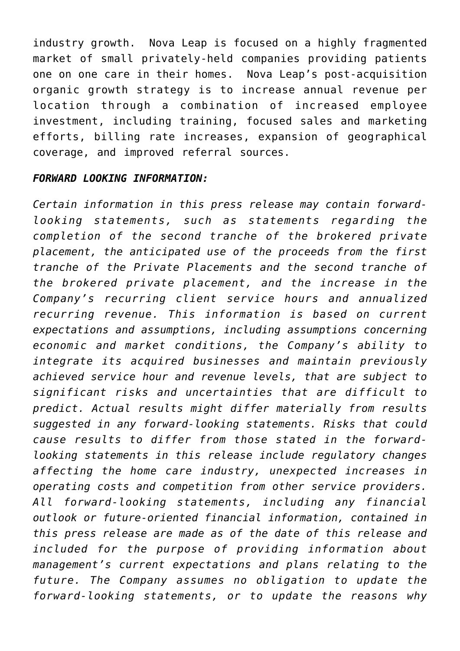industry growth. Nova Leap is focused on a highly fragmented market of small privately-held companies providing patients one on one care in their homes. Nova Leap's post-acquisition organic growth strategy is to increase annual revenue per location through a combination of increased employee investment, including training, focused sales and marketing efforts, billing rate increases, expansion of geographical coverage, and improved referral sources.

#### *FORWARD LOOKING INFORMATION:*

*Certain information in this press release may contain forwardlooking statements, such as statements regarding the completion of the second tranche of the brokered private placement, the anticipated use of the proceeds from the first tranche of the Private Placements and the second tranche of the brokered private placement, and the increase in the Company's recurring client service hours and annualized recurring revenue. This information is based on current expectations and assumptions, including assumptions concerning economic and market conditions, the Company's ability to integrate its acquired businesses and maintain previously achieved service hour and revenue levels, that are subject to significant risks and uncertainties that are difficult to predict. Actual results might differ materially from results suggested in any forward-looking statements. Risks that could cause results to differ from those stated in the forwardlooking statements in this release include regulatory changes affecting the home care industry, unexpected increases in operating costs and competition from other service providers. All forward-looking statements, including any financial outlook or future-oriented financial information, contained in this press release are made as of the date of this release and included for the purpose of providing information about management's current expectations and plans relating to the future. The Company assumes no obligation to update the forward-looking statements, or to update the reasons why*